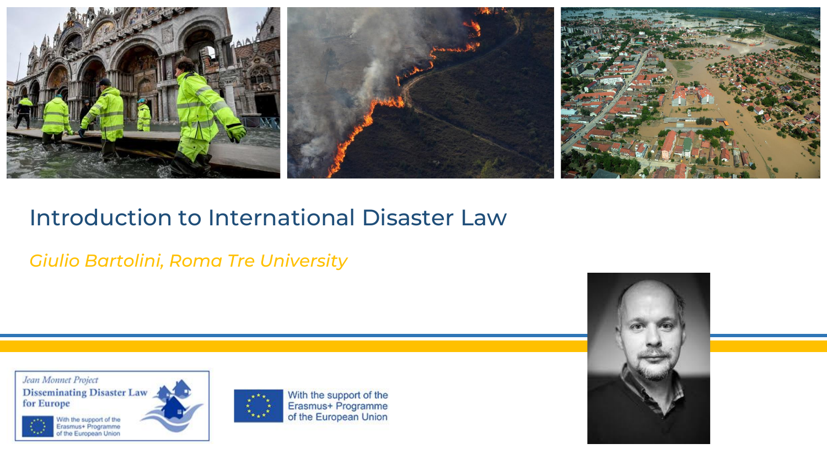

### Introduction to International Disaster Law

*Giulio Bartolini, Roma Tre University*

Jean Monnet Project **Disseminating Disaster Law** for Europe With the support of the<br>Erasmus+ Programme<br>of the European Union



With the support of the Erasmus+ Programme of the European Union

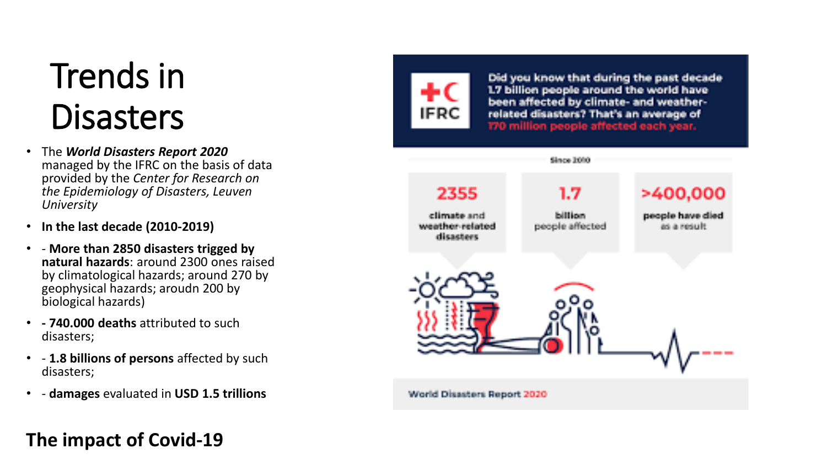# Trends in **Disasters**

- The *World Disasters Report 2020* managed by the IFRC on the basis of data provided by the *Center for Research on the Epidemiology of Disasters, Leuven University*
- **In the last decade (2010-2019)**
- - **More than 2850 disasters trigged by natural hazards**: around 2300 ones raised by climatological hazards; around 270 by geophysical hazards; aroudn 200 by biological hazards)
- **- 740.000 deaths** attributed to such disasters;
- - **1.8 billions of persons** affected by such disasters;
- - **damages** evaluated in **USD 1.5 trillions**

**IFRC** 

Did you know that during the past decade 1.7 billion people around the world have been affected by climate- and weatherrelated disasters? That's an average of 170 million people affected each year.



**The impact of Covid-19**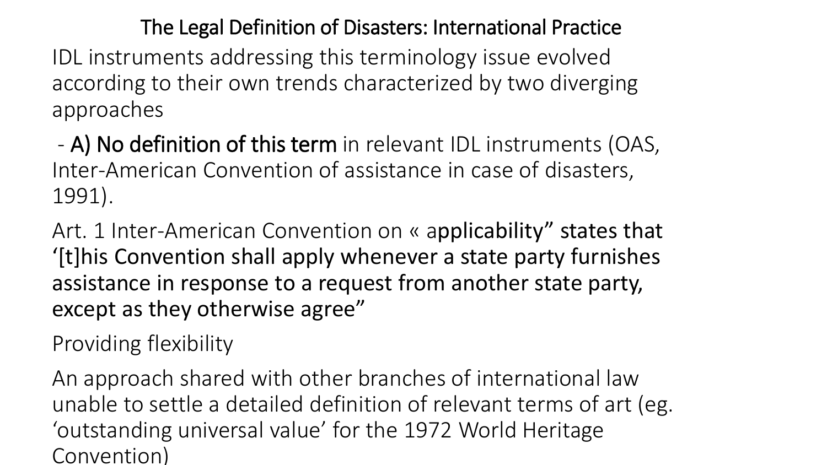The Legal Definition of Disasters: International Practice

IDL instruments addressing this terminology issue evolved according to their own trends characterized by two diverging approaches

- A) No definition of this term in relevant IDL instruments (OAS, Inter-American Convention of assistance in case of disasters, 1991).

Art. 1 Inter-American Convention on « applicability" states that '[t]his Convention shall apply whenever a state party furnishes assistance in response to a request from another state party, except as they otherwise agree"

Providing flexibility

An approach shared with other branches of international law unable to settle a detailed definition of relevant terms of art (eg. 'outstanding universal value' for the 1972 World Heritage Convention)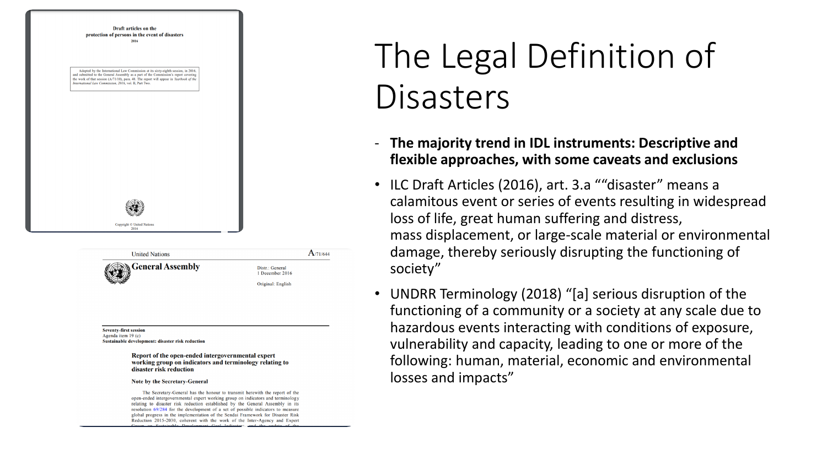

Sustainable development: disaster risk reduction

Report of the open-ended intergovernmental expert working group on indicators and terminology relating to disaster risk reduction

 $A_{71/644}$ 

#### Note by the Secretary-General

The Secretary-General has the honour to transmit herewith the report of the open-ended intergovernmental expert working group on indicators and terminology relating to disaster risk reduction established by the General Assembly in its resolution 69/284 for the development of a set of possible indicators to measure global progress in the implementation of the Sendai Framework for Disaster Risk Reduction 2015-2030, coherent with the work of the Inter-Agency and Expert

# The Legal Definition of **Disasters**

- **The majority trend in IDL instruments: Descriptive and flexible approaches, with some caveats and exclusions**
- ILC Draft Articles (2016), art. 3.a ""disaster" means a calamitous event or series of events resulting in widespread loss of life, great human suffering and distress, mass displacement, or large-scale material or environmental damage, thereby seriously disrupting the functioning of society"
- UNDRR Terminology (2018) "[a] serious disruption of the functioning of a community or a society at any scale due to hazardous events interacting with conditions of exposure, vulnerability and capacity, leading to one or more of the following: human, material, economic and environmental losses and impacts"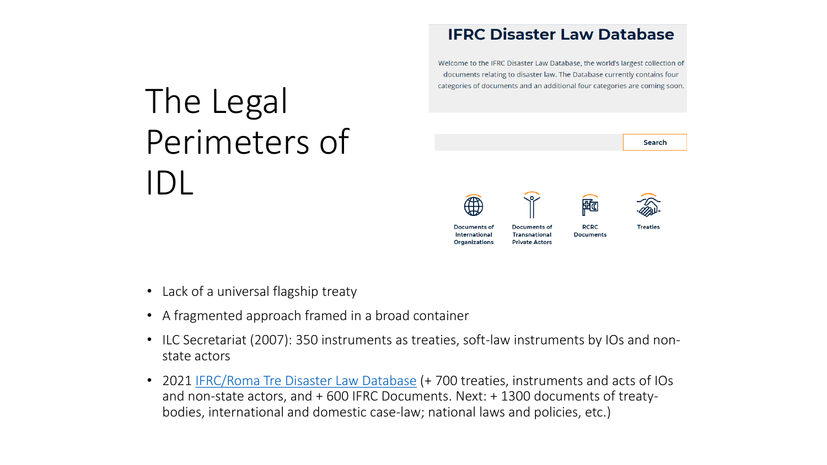# The Legal Perimeters of IDL

#### **IFRC Disaster Law Database**

Welcome to the IFRC Disaster Law Database, the world's largest collection of documents relating to disaster law. The Database currently contains four categories of documents and an additional four categories are coming soon.



- Lack of a universal flagship treaty
- A fragmented approach framed in a broad container
- ILC Secretariat (2007): 350 instruments as treaties, soft-law instruments by IOs and nonstate actors
- 2021 [IFRC/Roma Tre Disaster Law Database](https://disasterlaw.ifrc.org/disaster-law-database) (+ 700 treaties, instruments and acts of IOs and non-state actors, and + 600 IFRC Documents. Next: + 1300 documents of treatybodies, international and domestic case-law; national laws and policies, etc.)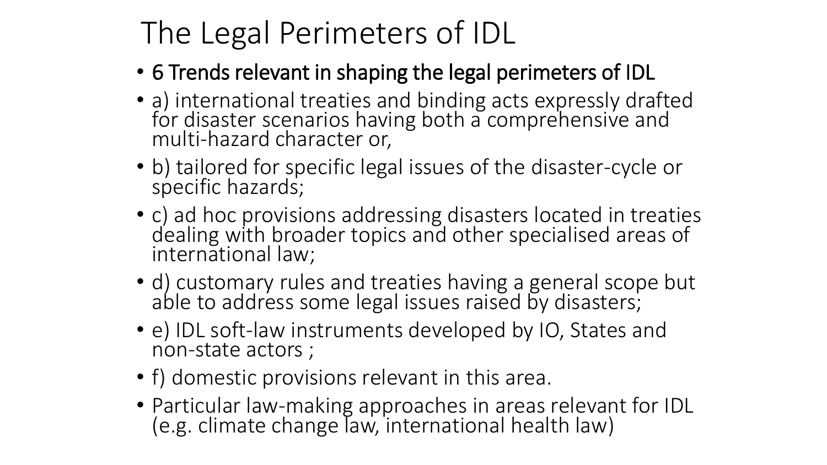## The Legal Perimeters of IDL

- 6 Trends relevant in shaping the legal perimeters of IDL
- a) international treaties and binding acts expressly drafted for disaster scenarios having both a comprehensive and multi-hazard character or,
- b) tailored for specific legal issues of the disaster-cycle or specific hazards;
- c) ad hoc provisions addressing disasters located in treaties dealing with broader topics and other specialised areas of international law;
- d) customary rules and treaties having a general scope but able to address some legal issues raised by disasters;
- e) IDL soft-law instruments developed by IO, States and non-state actors ;
- f) domestic provisions relevant in this area.
- Particular law-making approaches in areas relevant for IDL (e.g. climate change law, international health law)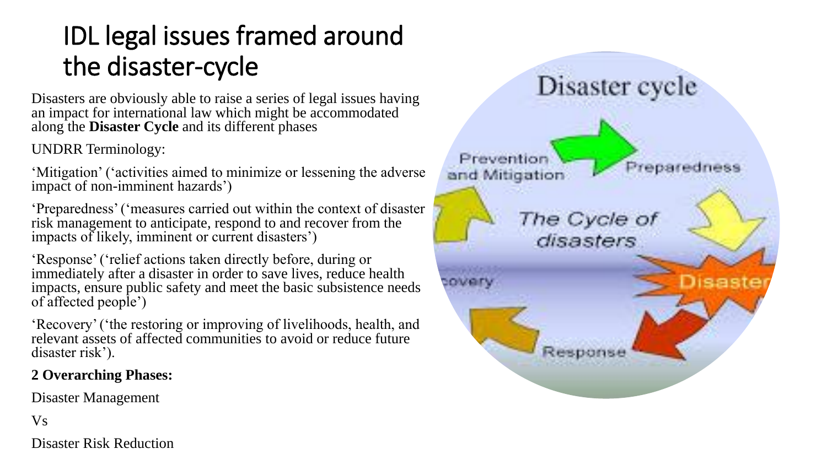### IDL legal issues framed around the disaster-cycle

Disasters are obviously able to raise a series of legal issues having an impact for international law which might be accommodated along the **Disaster Cycle** and its different phases

UNDRR Terminology:

'Mitigation' ('activities aimed to minimize or lessening the adverse impact of non-imminent hazards')

'Preparedness' ('measures carried out within the context of disaster risk management to anticipate, respond to and recover from the impacts of likely, imminent or current disasters')

'Response' ('relief actions taken directly before, during or immediately after a disaster in order to save lives, reduce health impacts, ensure public safety and meet the basic subsistence needs of affected people')

'Recovery' ('the restoring or improving of livelihoods, health, and relevant assets of affected communities to avoid or reduce future disaster risk').

### **2 Overarching Phases:**

Disaster Management

Vs

Disaster Risk Reduction

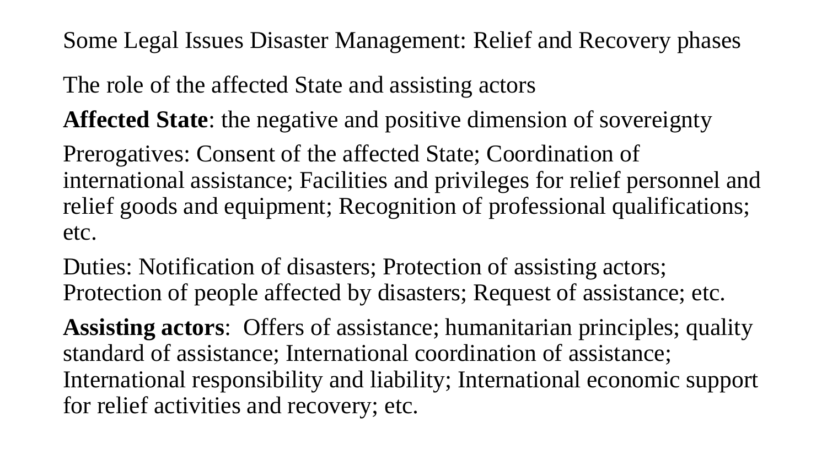Some Legal Issues Disaster Management: Relief and Recovery phases

The role of the affected State and assisting actors

**Affected State**: the negative and positive dimension of sovereignty

Prerogatives: Consent of the affected State; Coordination of international assistance; Facilities and privileges for relief personnel and relief goods and equipment; Recognition of professional qualifications; etc.

Duties: Notification of disasters; Protection of assisting actors; Protection of people affected by disasters; Request of assistance; etc.

**Assisting actors**: Offers of assistance; humanitarian principles; quality standard of assistance; International coordination of assistance; International responsibility and liability; International economic support for relief activities and recovery; etc.